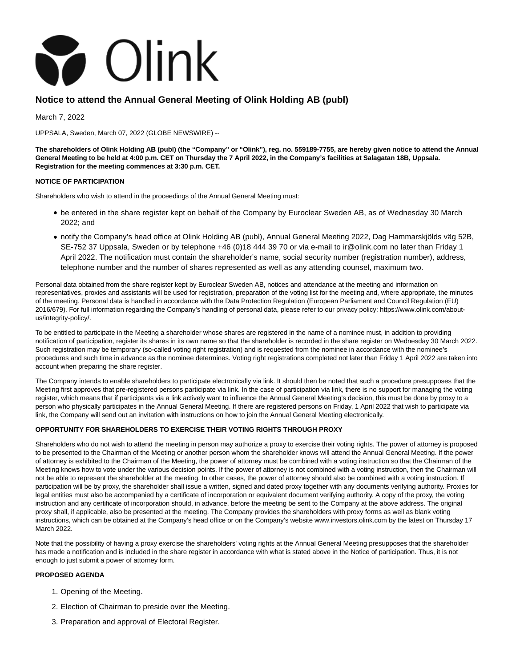

# **Notice to attend the Annual General Meeting of Olink Holding AB (publ)**

March 7, 2022

UPPSALA, Sweden, March 07, 2022 (GLOBE NEWSWIRE) --

**The shareholders of Olink Holding AB (publ) (the "Company" or "Olink"), reg. no. 559189-7755, are hereby given notice to attend the Annual General Meeting to be held at 4:00 p.m. CET on Thursday the 7 April 2022, in the Company's facilities at Salagatan 18B, Uppsala. Registration for the meeting commences at 3:30 p.m. CET.**

### **NOTICE OF PARTICIPATION**

Shareholders who wish to attend in the proceedings of the Annual General Meeting must:

- be entered in the share register kept on behalf of the Company by Euroclear Sweden AB, as of Wednesday 30 March 2022; and
- notify the Company's head office at Olink Holding AB (publ), Annual General Meeting 2022, Dag Hammarskjölds väg 52B, SE-752 37 Uppsala, Sweden or by telephone +46 (0)18 444 39 70 or via e-mail to ir@olink.com no later than Friday 1 April 2022. The notification must contain the shareholder's name, social security number (registration number), address, telephone number and the number of shares represented as well as any attending counsel, maximum two.

Personal data obtained from the share register kept by Euroclear Sweden AB, notices and attendance at the meeting and information on representatives, proxies and assistants will be used for registration, preparation of the voting list for the meeting and, where appropriate, the minutes of the meeting. Personal data is handled in accordance with the Data Protection Regulation (European Parliament and Council Regulation (EU) 2016/679). For full information regarding the Company's handling of personal data, please refer to our privacy policy: https://www.olink.com/aboutus/integrity-policy/.

To be entitled to participate in the Meeting a shareholder whose shares are registered in the name of a nominee must, in addition to providing notification of participation, register its shares in its own name so that the shareholder is recorded in the share register on Wednesday 30 March 2022. Such registration may be temporary (so-called voting right registration) and is requested from the nominee in accordance with the nominee's procedures and such time in advance as the nominee determines. Voting right registrations completed not later than Friday 1 April 2022 are taken into account when preparing the share register.

The Company intends to enable shareholders to participate electronically via link. It should then be noted that such a procedure presupposes that the Meeting first approves that pre-registered persons participate via link. In the case of participation via link, there is no support for managing the voting register, which means that if participants via a link actively want to influence the Annual General Meeting's decision, this must be done by proxy to a person who physically participates in the Annual General Meeting. If there are registered persons on Friday, 1 April 2022 that wish to participate via link, the Company will send out an invitation with instructions on how to join the Annual General Meeting electronically.

### **OPPORTUNITY FOR SHAREHOLDERS TO EXERCISE THEIR VOTING RIGHTS THROUGH PROXY**

Shareholders who do not wish to attend the meeting in person may authorize a proxy to exercise their voting rights. The power of attorney is proposed to be presented to the Chairman of the Meeting or another person whom the shareholder knows will attend the Annual General Meeting. If the power of attorney is exhibited to the Chairman of the Meeting, the power of attorney must be combined with a voting instruction so that the Chairman of the Meeting knows how to vote under the various decision points. If the power of attorney is not combined with a voting instruction, then the Chairman will not be able to represent the shareholder at the meeting. In other cases, the power of attorney should also be combined with a voting instruction. If participation will be by proxy, the shareholder shall issue a written, signed and dated proxy together with any documents verifying authority. Proxies for legal entities must also be accompanied by a certificate of incorporation or equivalent document verifying authority. A copy of the proxy, the voting instruction and any certificate of incorporation should, in advance, before the meeting be sent to the Company at the above address. The original proxy shall, if applicable, also be presented at the meeting. The Company provides the shareholders with proxy forms as well as blank voting instructions, which can be obtained at the Company's head office or on the Company's website www.investors.olink.com by the latest on Thursday 17 March 2022.

Note that the possibility of having a proxy exercise the shareholders' voting rights at the Annual General Meeting presupposes that the shareholder has made a notification and is included in the share register in accordance with what is stated above in the Notice of participation. Thus, it is not enough to just submit a power of attorney form.

### **PROPOSED AGENDA**

- 1. Opening of the Meeting.
- 2. Election of Chairman to preside over the Meeting.
- 3. Preparation and approval of Electoral Register.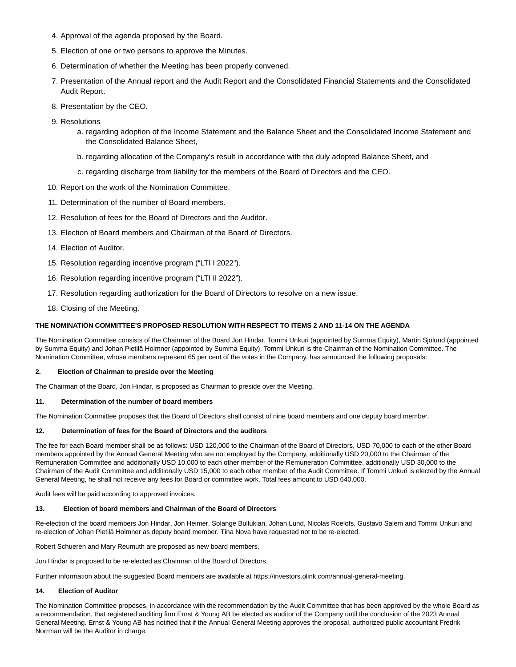- 4. Approval of the agenda proposed by the Board.
- 5. Election of one or two persons to approve the Minutes.
- 6. Determination of whether the Meeting has been properly convened.
- Presentation of the Annual report and the Audit Report and the Consolidated Financial Statements and the Consolidated 7. Audit Report.
- 8. Presentation by the CEO.
- 9. Resolutions
	- a. regarding adoption of the Income Statement and the Balance Sheet and the Consolidated Income Statement and the Consolidated Balance Sheet,
	- b. regarding allocation of the Company's result in accordance with the duly adopted Balance Sheet, and
	- c. regarding discharge from liability for the members of the Board of Directors and the CEO.
- 10. Report on the work of the Nomination Committee.
- 11. Determination of the number of Board members.
- 12. Resolution of fees for the Board of Directors and the Auditor.
- 13. Election of Board members and Chairman of the Board of Directors.
- 14. Election of Auditor.
- 15. Resolution regarding incentive program ("LTI I 2022").
- 16. Resolution regarding incentive program ("LTI II 2022").
- 17. Resolution regarding authorization for the Board of Directors to resolve on a new issue.
- 18. Closing of the Meeting.

### **THE NOMINATION COMMITTEE'S PROPOSED RESOLUTION WITH RESPECT TO ITEMS 2 AND 11-14 ON THE AGENDA**

The Nomination Committee consists of the Chairman of the Board Jon Hindar, Tommi Unkuri (appointed by Summa Equity), Martin Sjölund (appointed by Summa Equity) and Johan Pietilä Holmner (appointed by Summa Equity). Tommi Unkuri is the Chairman of the Nomination Committee. The Nomination Committee, whose members represent 65 per cent of the votes in the Company, has announced the following proposals:

### **2. Election of Chairman to preside over the Meeting**

The Chairman of the Board, Jon Hindar, is proposed as Chairman to preside over the Meeting.

#### **11. Determination of the number of board members**

The Nomination Committee proposes that the Board of Directors shall consist of nine board members and one deputy board member.

### **12. Determination of fees for the Board of Directors and the auditors**

The fee for each Board member shall be as follows: USD 120,000 to the Chairman of the Board of Directors, USD 70,000 to each of the other Board members appointed by the Annual General Meeting who are not employed by the Company, additionally USD 20,000 to the Chairman of the Remuneration Committee and additionally USD 10,000 to each other member of the Remuneration Committee, additionally USD 30,000 to the Chairman of the Audit Committee and additionally USD 15,000 to each other member of the Audit Committee. If Tommi Unkuri is elected by the Annual General Meeting, he shall not receive any fees for Board or committee work. Total fees amount to USD 640,000.

Audit fees will be paid according to approved invoices.

### **13. Election of board members and Chairman of the Board of Directors**

Re-election of the board members Jon Hindar, Jon Heimer, Solange Bullukian, Johan Lund, Nicolas Roelofs, Gustavo Salem and Tommi Unkuri and re-election of Johan Pietilä Holmner as deputy board member. Tina Nova have requested not to be re-elected.

Robert Schueren and Mary Reumuth are proposed as new board members.

Jon Hindar is proposed to be re-elected as Chairman of the Board of Directors.

Further information about the suggested Board members are available at https://investors.olink.com/annual-general-meeting.

### **14. Election of Auditor**

The Nomination Committee proposes, in accordance with the recommendation by the Audit Committee that has been approved by the whole Board as a recommendation, that registered auditing firm Ernst & Young AB be elected as auditor of the Company until the conclusion of the 2023 Annual General Meeting. Ernst & Young AB has notified that if the Annual General Meeting approves the proposal, authorized public accountant Fredrik Norrman will be the Auditor in charge.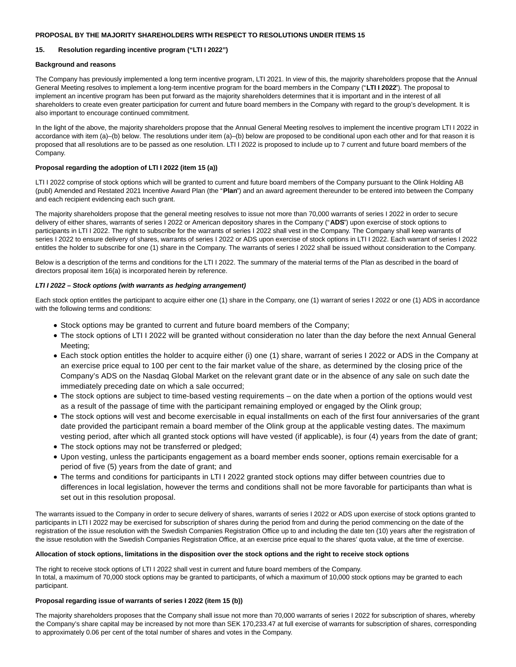### **PROPOSAL BY THE MAJORITY SHAREHOLDERS WITH RESPECT TO RESOLUTIONS UNDER ITEMS 15**

### **15. Resolution regarding incentive program ("LTI I 2022")**

### **Background and reasons**

The Company has previously implemented a long term incentive program, LTI 2021. In view of this, the majority shareholders propose that the Annual General Meeting resolves to implement a long-term incentive program for the board members in the Company ("**LTI I 2022**"). The proposal to implement an incentive program has been put forward as the majority shareholders determines that it is important and in the interest of all shareholders to create even greater participation for current and future board members in the Company with regard to the group's development. It is also important to encourage continued commitment.

In the light of the above, the majority shareholders propose that the Annual General Meeting resolves to implement the incentive program LTI I 2022 in accordance with item (a)–(b) below. The resolutions under item (a)–(b) below are proposed to be conditional upon each other and for that reason it is proposed that all resolutions are to be passed as one resolution. LTI I 2022 is proposed to include up to 7 current and future board members of the Company.

### **Proposal regarding the adoption of LTI I 2022 (item 15 (a))**

LTI I 2022 comprise of stock options which will be granted to current and future board members of the Company pursuant to the Olink Holding AB (publ) Amended and Restated 2021 Incentive Award Plan (the "**Plan**") and an award agreement thereunder to be entered into between the Company and each recipient evidencing each such grant.

The majority shareholders propose that the general meeting resolves to issue not more than 70,000 warrants of series I 2022 in order to secure delivery of either shares, warrants of series I 2022 or American depository shares in the Company ("**ADS**") upon exercise of stock options to participants in LTI I 2022. The right to subscribe for the warrants of series I 2022 shall vest in the Company. The Company shall keep warrants of series I 2022 to ensure delivery of shares, warrants of series I 2022 or ADS upon exercise of stock options in LTI I 2022. Each warrant of series I 2022 entitles the holder to subscribe for one (1) share in the Company. The warrants of series I 2022 shall be issued without consideration to the Company.

Below is a description of the terms and conditions for the LTI I 2022. The summary of the material terms of the Plan as described in the board of directors proposal item 16(a) is incorporated herein by reference.

### **LTI I 2022 – Stock options (with warrants as hedging arrangement)**

Each stock option entitles the participant to acquire either one (1) share in the Company, one (1) warrant of series I 2022 or one (1) ADS in accordance with the following terms and conditions:

- Stock options may be granted to current and future board members of the Company;
- The stock options of LTI I 2022 will be granted without consideration no later than the day before the next Annual General Meeting;
- Each stock option entitles the holder to acquire either (i) one (1) share, warrant of series I 2022 or ADS in the Company at an exercise price equal to 100 per cent to the fair market value of the share, as determined by the closing price of the Company's ADS on the Nasdaq Global Market on the relevant grant date or in the absence of any sale on such date the immediately preceding date on which a sale occurred;
- The stock options are subject to time-based vesting requirements on the date when a portion of the options would vest as a result of the passage of time with the participant remaining employed or engaged by the Olink group;
- The stock options will vest and become exercisable in equal installments on each of the first four anniversaries of the grant date provided the participant remain a board member of the Olink group at the applicable vesting dates. The maximum vesting period, after which all granted stock options will have vested (if applicable), is four (4) years from the date of grant;
- The stock options may not be transferred or pledged;
- Upon vesting, unless the participants engagement as a board member ends sooner, options remain exercisable for a period of five (5) years from the date of grant; and
- The terms and conditions for participants in LTI I 2022 granted stock options may differ between countries due to differences in local legislation, however the terms and conditions shall not be more favorable for participants than what is set out in this resolution proposal.

The warrants issued to the Company in order to secure delivery of shares, warrants of series I 2022 or ADS upon exercise of stock options granted to participants in LTI I 2022 may be exercised for subscription of shares during the period from and during the period commencing on the date of the registration of the issue resolution with the Swedish Companies Registration Office up to and including the date ten (10) years after the registration of the issue resolution with the Swedish Companies Registration Office, at an exercise price equal to the shares' quota value, at the time of exercise.

### **Allocation of stock options, limitations in the disposition over the stock options and the right to receive stock options**

The right to receive stock options of LTI I 2022 shall vest in current and future board members of the Company. In total, a maximum of 70,000 stock options may be granted to participants, of which a maximum of 10,000 stock options may be granted to each participant.

### **Proposal regarding issue of warrants of series I 2022 (item 15 (b))**

The majority shareholders proposes that the Company shall issue not more than 70,000 warrants of series I 2022 for subscription of shares, whereby the Company's share capital may be increased by not more than SEK 170,233.47 at full exercise of warrants for subscription of shares, corresponding to approximately 0.06 per cent of the total number of shares and votes in the Company.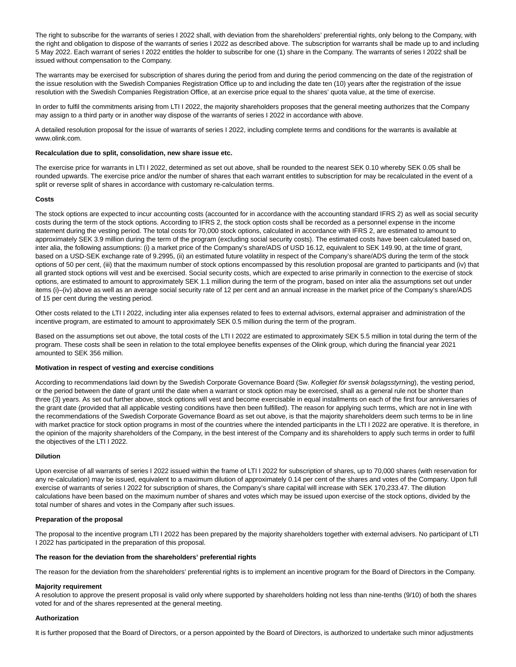The right to subscribe for the warrants of series I 2022 shall, with deviation from the shareholders' preferential rights, only belong to the Company, with the right and obligation to dispose of the warrants of series I 2022 as described above. The subscription for warrants shall be made up to and including 5 May 2022. Each warrant of series I 2022 entitles the holder to subscribe for one (1) share in the Company. The warrants of series I 2022 shall be issued without compensation to the Company.

The warrants may be exercised for subscription of shares during the period from and during the period commencing on the date of the registration of the issue resolution with the Swedish Companies Registration Office up to and including the date ten (10) years after the registration of the issue resolution with the Swedish Companies Registration Office, at an exercise price equal to the shares' quota value, at the time of exercise.

In order to fulfil the commitments arising from LTI I 2022, the majority shareholders proposes that the general meeting authorizes that the Company may assign to a third party or in another way dispose of the warrants of series I 2022 in accordance with above.

A detailed resolution proposal for the issue of warrants of series I 2022, including complete terms and conditions for the warrants is available at www.olink.com.

#### **Recalculation due to split, consolidation, new share issue etc.**

The exercise price for warrants in LTI I 2022, determined as set out above, shall be rounded to the nearest SEK 0.10 whereby SEK 0.05 shall be rounded upwards. The exercise price and/or the number of shares that each warrant entitles to subscription for may be recalculated in the event of a split or reverse split of shares in accordance with customary re-calculation terms.

#### **Costs**

The stock options are expected to incur accounting costs (accounted for in accordance with the accounting standard IFRS 2) as well as social security costs during the term of the stock options. According to IFRS 2, the stock option costs shall be recorded as a personnel expense in the income statement during the vesting period. The total costs for 70,000 stock options, calculated in accordance with IFRS 2, are estimated to amount to approximately SEK 3.9 million during the term of the program (excluding social security costs). The estimated costs have been calculated based on, inter alia, the following assumptions: (i) a market price of the Company's share/ADS of USD 16.12, equivalent to SEK 149.90, at the time of grant, based on a USD-SEK exchange rate of 9.2995, (ii) an estimated future volatility in respect of the Company's share/ADS during the term of the stock options of 50 per cent, (iii) that the maximum number of stock options encompassed by this resolution proposal are granted to participants and (iv) that all granted stock options will vest and be exercised. Social security costs, which are expected to arise primarily in connection to the exercise of stock options, are estimated to amount to approximately SEK 1.1 million during the term of the program, based on inter alia the assumptions set out under items (i)–(iv) above as well as an average social security rate of 12 per cent and an annual increase in the market price of the Company's share/ADS of 15 per cent during the vesting period.

Other costs related to the LTI I 2022, including inter alia expenses related to fees to external advisors, external appraiser and administration of the incentive program, are estimated to amount to approximately SEK 0.5 million during the term of the program.

Based on the assumptions set out above, the total costs of the LTI I 2022 are estimated to approximately SEK 5.5 million in total during the term of the program. These costs shall be seen in relation to the total employee benefits expenses of the Olink group, which during the financial year 2021 amounted to SEK 356 million.

#### **Motivation in respect of vesting and exercise conditions**

According to recommendations laid down by the Swedish Corporate Governance Board (Sw. Kollegiet för svensk bolagsstyrning), the vesting period, or the period between the date of grant until the date when a warrant or stock option may be exercised, shall as a general rule not be shorter than three (3) years. As set out further above, stock options will vest and become exercisable in equal installments on each of the first four anniversaries of the grant date (provided that all applicable vesting conditions have then been fulfilled). The reason for applying such terms, which are not in line with the recommendations of the Swedish Corporate Governance Board as set out above, is that the majority shareholders deem such terms to be in line with market practice for stock option programs in most of the countries where the intended participants in the LTI I 2022 are operative. It is therefore, in the opinion of the majority shareholders of the Company, in the best interest of the Company and its shareholders to apply such terms in order to fulfil the objectives of the LTI I 2022.

#### **Dilution**

Upon exercise of all warrants of series I 2022 issued within the frame of LTI I 2022 for subscription of shares, up to 70,000 shares (with reservation for any re-calculation) may be issued, equivalent to a maximum dilution of approximately 0.14 per cent of the shares and votes of the Company. Upon full exercise of warrants of series I 2022 for subscription of shares, the Company's share capital will increase with SEK 170,233.47. The dilution calculations have been based on the maximum number of shares and votes which may be issued upon exercise of the stock options, divided by the total number of shares and votes in the Company after such issues.

#### **Preparation of the proposal**

The proposal to the incentive program LTI I 2022 has been prepared by the majority shareholders together with external advisers. No participant of LTI I 2022 has participated in the preparation of this proposal.

#### **The reason for the deviation from the shareholders' preferential rights**

The reason for the deviation from the shareholders' preferential rights is to implement an incentive program for the Board of Directors in the Company.

#### **Majority requirement**

A resolution to approve the present proposal is valid only where supported by shareholders holding not less than nine-tenths (9/10) of both the shares voted for and of the shares represented at the general meeting.

#### **Authorization**

It is further proposed that the Board of Directors, or a person appointed by the Board of Directors, is authorized to undertake such minor adjustments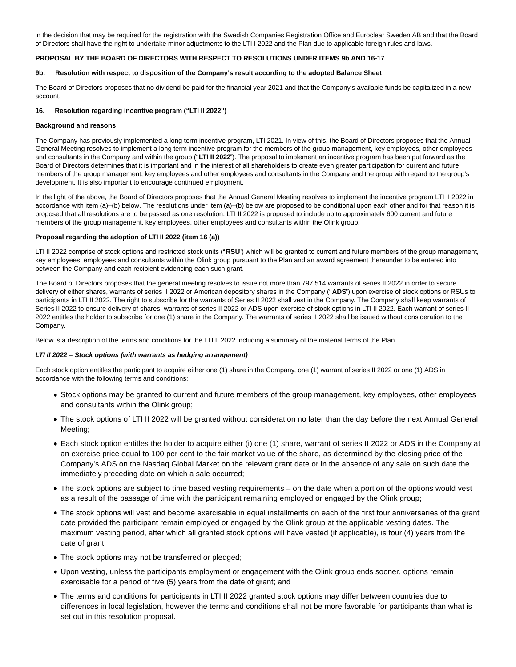in the decision that may be required for the registration with the Swedish Companies Registration Office and Euroclear Sweden AB and that the Board of Directors shall have the right to undertake minor adjustments to the LTI I 2022 and the Plan due to applicable foreign rules and laws.

### **PROPOSAL BY THE BOARD OF DIRECTORS WITH RESPECT TO RESOLUTIONS UNDER ITEMS 9b AND 16-17**

#### **9b. Resolution with respect to disposition of the Company's result according to the adopted Balance Sheet**

The Board of Directors proposes that no dividend be paid for the financial year 2021 and that the Company's available funds be capitalized in a new account.

### **16. Resolution regarding incentive program ("LTI II 2022")**

#### **Background and reasons**

The Company has previously implemented a long term incentive program, LTI 2021. In view of this, the Board of Directors proposes that the Annual General Meeting resolves to implement a long term incentive program for the members of the group management, key employees, other employees and consultants in the Company and within the group ("**LTI II 2022**"). The proposal to implement an incentive program has been put forward as the Board of Directors determines that it is important and in the interest of all shareholders to create even greater participation for current and future members of the group management, key employees and other employees and consultants in the Company and the group with regard to the group's development. It is also important to encourage continued employment.

In the light of the above, the Board of Directors proposes that the Annual General Meeting resolves to implement the incentive program LTI II 2022 in accordance with item (a)–(b) below. The resolutions under item (a)–(b) below are proposed to be conditional upon each other and for that reason it is proposed that all resolutions are to be passed as one resolution. LTI II 2022 is proposed to include up to approximately 600 current and future members of the group management, key employees, other employees and consultants within the Olink group.

### **Proposal regarding the adoption of LTI II 2022 (item 16 (a))**

LTI II 2022 comprise of stock options and restricted stock units ("**RSU**") which will be granted to current and future members of the group management, key employees, employees and consultants within the Olink group pursuant to the Plan and an award agreement thereunder to be entered into between the Company and each recipient evidencing each such grant.

The Board of Directors proposes that the general meeting resolves to issue not more than 797,514 warrants of series II 2022 in order to secure delivery of either shares, warrants of series II 2022 or American depository shares in the Company ("**ADS**") upon exercise of stock options or RSUs to participants in LTI II 2022. The right to subscribe for the warrants of Series II 2022 shall vest in the Company. The Company shall keep warrants of Series II 2022 to ensure delivery of shares, warrants of series II 2022 or ADS upon exercise of stock options in LTI II 2022. Each warrant of series II 2022 entitles the holder to subscribe for one (1) share in the Company. The warrants of series II 2022 shall be issued without consideration to the Company.

Below is a description of the terms and conditions for the LTI II 2022 including a summary of the material terms of the Plan.

### **LTI II 2022 – Stock options (with warrants as hedging arrangement)**

Each stock option entitles the participant to acquire either one (1) share in the Company, one (1) warrant of series II 2022 or one (1) ADS in accordance with the following terms and conditions:

- Stock options may be granted to current and future members of the group management, key employees, other employees and consultants within the Olink group;
- The stock options of LTI II 2022 will be granted without consideration no later than the day before the next Annual General Meeting;
- Each stock option entitles the holder to acquire either (i) one (1) share, warrant of series II 2022 or ADS in the Company at an exercise price equal to 100 per cent to the fair market value of the share, as determined by the closing price of the Company's ADS on the Nasdaq Global Market on the relevant grant date or in the absence of any sale on such date the immediately preceding date on which a sale occurred;
- The stock options are subject to time based vesting requirements on the date when a portion of the options would vest as a result of the passage of time with the participant remaining employed or engaged by the Olink group;
- The stock options will vest and become exercisable in equal installments on each of the first four anniversaries of the grant date provided the participant remain employed or engaged by the Olink group at the applicable vesting dates. The maximum vesting period, after which all granted stock options will have vested (if applicable), is four (4) years from the date of grant;
- The stock options may not be transferred or pledged;
- Upon vesting, unless the participants employment or engagement with the Olink group ends sooner, options remain exercisable for a period of five (5) years from the date of grant; and
- The terms and conditions for participants in LTI II 2022 granted stock options may differ between countries due to differences in local legislation, however the terms and conditions shall not be more favorable for participants than what is set out in this resolution proposal.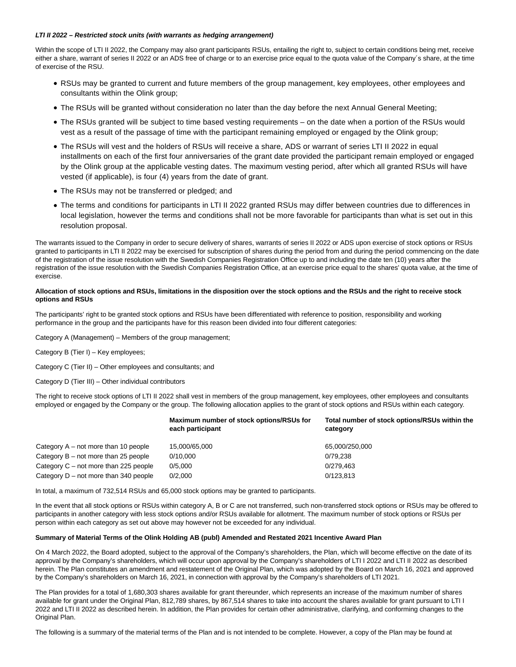#### **LTI II 2022 – Restricted stock units (with warrants as hedging arrangement)**

Within the scope of LTI II 2022, the Company may also grant participants RSUs, entailing the right to, subject to certain conditions being met, receive either a share, warrant of series II 2022 or an ADS free of charge or to an exercise price equal to the quota value of the Company's share, at the time of exercise of the RSU.

- RSUs may be granted to current and future members of the group management, key employees, other employees and consultants within the Olink group;
- The RSUs will be granted without consideration no later than the day before the next Annual General Meeting;
- The RSUs granted will be subject to time based vesting requirements on the date when a portion of the RSUs would vest as a result of the passage of time with the participant remaining employed or engaged by the Olink group;
- The RSUs will vest and the holders of RSUs will receive a share, ADS or warrant of series LTI II 2022 in equal installments on each of the first four anniversaries of the grant date provided the participant remain employed or engaged by the Olink group at the applicable vesting dates. The maximum vesting period, after which all granted RSUs will have vested (if applicable), is four (4) years from the date of grant.
- The RSUs may not be transferred or pledged; and
- The terms and conditions for participants in LTI II 2022 granted RSUs may differ between countries due to differences in local legislation, however the terms and conditions shall not be more favorable for participants than what is set out in this resolution proposal.

The warrants issued to the Company in order to secure delivery of shares, warrants of series II 2022 or ADS upon exercise of stock options or RSUs granted to participants in LTI II 2022 may be exercised for subscription of shares during the period from and during the period commencing on the date of the registration of the issue resolution with the Swedish Companies Registration Office up to and including the date ten (10) years after the registration of the issue resolution with the Swedish Companies Registration Office, at an exercise price equal to the shares' quota value, at the time of exercise.

#### **Allocation of stock options and RSUs, limitations in the disposition over the stock options and the RSUs and the right to receive stock options and RSUs**

The participants' right to be granted stock options and RSUs have been differentiated with reference to position, responsibility and working performance in the group and the participants have for this reason been divided into four different categories:

Category A (Management) – Members of the group management;

Category B (Tier I) – Key employees;

Category C (Tier II) – Other employees and consultants; and

Category D (Tier III) – Other individual contributors

The right to receive stock options of LTI II 2022 shall vest in members of the group management, key employees, other employees and consultants employed or engaged by the Company or the group. The following allocation applies to the grant of stock options and RSUs within each category.

|                                         | Maximum number of stock options/RSUs for<br>each participant | Total number of stock options/RSUs within the<br>category |
|-----------------------------------------|--------------------------------------------------------------|-----------------------------------------------------------|
| Category $A - not$ more than 10 people  | 15,000/65,000                                                | 65.000/250.000                                            |
| Category $B - not$ more than 25 people  | 0/10.000                                                     | 0/79.238                                                  |
| Category $C$ – not more than 225 people | 0/5.000                                                      | 0/279,463                                                 |
| Category $D$ – not more than 340 people | 0/2.000                                                      | 0/123.813                                                 |

In total, a maximum of 732,514 RSUs and 65,000 stock options may be granted to participants.

In the event that all stock options or RSUs within category A, B or C are not transferred, such non-transferred stock options or RSUs may be offered to participants in another category with less stock options and/or RSUs available for allotment. The maximum number of stock options or RSUs per person within each category as set out above may however not be exceeded for any individual.

#### **Summary of Material Terms of the Olink Holding AB (publ) Amended and Restated 2021 Incentive Award Plan**

On 4 March 2022, the Board adopted, subject to the approval of the Company's shareholders, the Plan, which will become effective on the date of its approval by the Company's shareholders, which will occur upon approval by the Company's shareholders of LTI I 2022 and LTI II 2022 as described herein. The Plan constitutes an amendment and restatement of the Original Plan, which was adopted by the Board on March 16, 2021 and approved by the Company's shareholders on March 16, 2021, in connection with approval by the Company's shareholders of LTI 2021.

The Plan provides for a total of 1,680,303 shares available for grant thereunder, which represents an increase of the maximum number of shares available for grant under the Original Plan, 812,789 shares, by 867,514 shares to take into account the shares available for grant pursuant to LTI I 2022 and LTI II 2022 as described herein. In addition, the Plan provides for certain other administrative, clarifying, and conforming changes to the Original Plan.

The following is a summary of the material terms of the Plan and is not intended to be complete. However, a copy of the Plan may be found at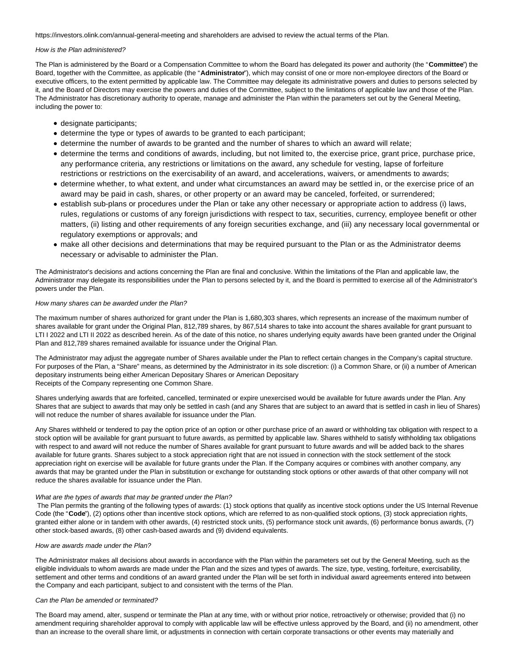https://investors.olink.com/annual-general-meeting and shareholders are advised to review the actual terms of the Plan.

#### How is the Plan administered?

The Plan is administered by the Board or a Compensation Committee to whom the Board has delegated its power and authority (the "**Committee**") the Board, together with the Committee, as applicable (the "**Administrator**"), which may consist of one or more non-employee directors of the Board or executive officers, to the extent permitted by applicable law. The Committee may delegate its administrative powers and duties to persons selected by it, and the Board of Directors may exercise the powers and duties of the Committee, subject to the limitations of applicable law and those of the Plan. The Administrator has discretionary authority to operate, manage and administer the Plan within the parameters set out by the General Meeting, including the power to:

- designate participants;
- determine the type or types of awards to be granted to each participant;
- determine the number of awards to be granted and the number of shares to which an award will relate;
- determine the terms and conditions of awards, including, but not limited to, the exercise price, grant price, purchase price, any performance criteria, any restrictions or limitations on the award, any schedule for vesting, lapse of forfeiture restrictions or restrictions on the exercisability of an award, and accelerations, waivers, or amendments to awards;
- determine whether, to what extent, and under what circumstances an award may be settled in, or the exercise price of an award may be paid in cash, shares, or other property or an award may be canceled, forfeited, or surrendered;
- establish sub-plans or procedures under the Plan or take any other necessary or appropriate action to address (i) laws, rules, regulations or customs of any foreign jurisdictions with respect to tax, securities, currency, employee benefit or other matters, (ii) listing and other requirements of any foreign securities exchange, and (iii) any necessary local governmental or regulatory exemptions or approvals; and
- make all other decisions and determinations that may be required pursuant to the Plan or as the Administrator deems necessary or advisable to administer the Plan.

The Administrator's decisions and actions concerning the Plan are final and conclusive. Within the limitations of the Plan and applicable law, the Administrator may delegate its responsibilities under the Plan to persons selected by it, and the Board is permitted to exercise all of the Administrator's powers under the Plan.

#### How many shares can be awarded under the Plan?

The maximum number of shares authorized for grant under the Plan is 1,680,303 shares, which represents an increase of the maximum number of shares available for grant under the Original Plan, 812,789 shares, by 867,514 shares to take into account the shares available for grant pursuant to LTI I 2022 and LTI II 2022 as described herein. As of the date of this notice, no shares underlying equity awards have been granted under the Original Plan and 812,789 shares remained available for issuance under the Original Plan.

The Administrator may adjust the aggregate number of Shares available under the Plan to reflect certain changes in the Company's capital structure. For purposes of the Plan, a "Share" means, as determined by the Administrator in its sole discretion: (i) a Common Share, or (ii) a number of American depositary instruments being either American Depositary Shares or American Depositary Receipts of the Company representing one Common Share.

Shares underlying awards that are forfeited, cancelled, terminated or expire unexercised would be available for future awards under the Plan. Any Shares that are subject to awards that may only be settled in cash (and any Shares that are subject to an award that is settled in cash in lieu of Shares) will not reduce the number of shares available for issuance under the Plan.

Any Shares withheld or tendered to pay the option price of an option or other purchase price of an award or withholding tax obligation with respect to a stock option will be available for grant pursuant to future awards, as permitted by applicable law. Shares withheld to satisfy withholding tax obligations with respect to and award will not reduce the number of Shares available for grant pursuant to future awards and will be added back to the shares available for future grants. Shares subject to a stock appreciation right that are not issued in connection with the stock settlement of the stock appreciation right on exercise will be available for future grants under the Plan. If the Company acquires or combines with another company, any awards that may be granted under the Plan in substitution or exchange for outstanding stock options or other awards of that other company will not reduce the shares available for issuance under the Plan.

### What are the types of awards that may be granted under the Plan?

 The Plan permits the granting of the following types of awards: (1) stock options that qualify as incentive stock options under the US Internal Revenue Code (the "**Code**"), (2) options other than incentive stock options, which are referred to as non-qualified stock options, (3) stock appreciation rights, granted either alone or in tandem with other awards, (4) restricted stock units, (5) performance stock unit awards, (6) performance bonus awards, (7) other stock-based awards, (8) other cash-based awards and (9) dividend equivalents.

### How are awards made under the Plan?

The Administrator makes all decisions about awards in accordance with the Plan within the parameters set out by the General Meeting, such as the eligible individuals to whom awards are made under the Plan and the sizes and types of awards. The size, type, vesting, forfeiture, exercisability, settlement and other terms and conditions of an award granted under the Plan will be set forth in individual award agreements entered into between the Company and each participant, subject to and consistent with the terms of the Plan.

#### Can the Plan be amended or terminated?

The Board may amend, alter, suspend or terminate the Plan at any time, with or without prior notice, retroactively or otherwise; provided that (i) no amendment requiring shareholder approval to comply with applicable law will be effective unless approved by the Board, and (ii) no amendment, other than an increase to the overall share limit, or adjustments in connection with certain corporate transactions or other events may materially and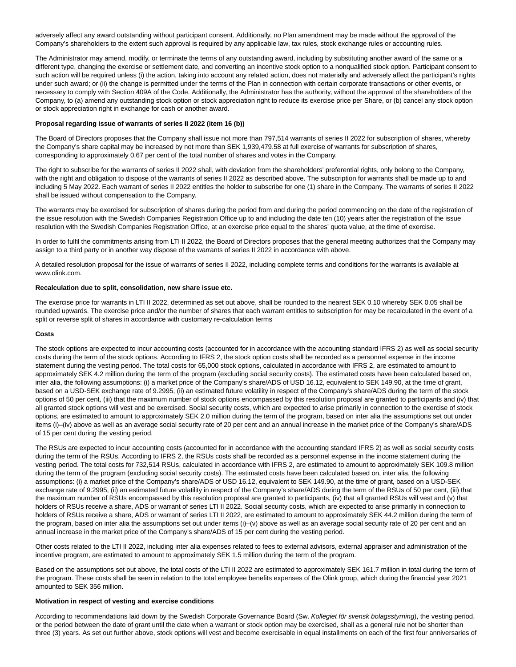adversely affect any award outstanding without participant consent. Additionally, no Plan amendment may be made without the approval of the Company's shareholders to the extent such approval is required by any applicable law, tax rules, stock exchange rules or accounting rules.

The Administrator may amend, modify, or terminate the terms of any outstanding award, including by substituting another award of the same or a different type, changing the exercise or settlement date, and converting an incentive stock option to a nonqualified stock option. Participant consent to such action will be required unless (i) the action, taking into account any related action, does not materially and adversely affect the participant's rights under such award; or (ii) the change is permitted under the terms of the Plan in connection with certain corporate transactions or other events, or necessary to comply with Section 409A of the Code. Additionally, the Administrator has the authority, without the approval of the shareholders of the Company, to (a) amend any outstanding stock option or stock appreciation right to reduce its exercise price per Share, or (b) cancel any stock option or stock appreciation right in exchange for cash or another award.

#### **Proposal regarding issue of warrants of series II 2022 (item 16 (b))**

The Board of Directors proposes that the Company shall issue not more than 797,514 warrants of series II 2022 for subscription of shares, whereby the Company's share capital may be increased by not more than SEK 1,939,479.58 at full exercise of warrants for subscription of shares, corresponding to approximately 0.67 per cent of the total number of shares and votes in the Company.

The right to subscribe for the warrants of series II 2022 shall, with deviation from the shareholders' preferential rights, only belong to the Company, with the right and obligation to dispose of the warrants of series II 2022 as described above. The subscription for warrants shall be made up to and including 5 May 2022. Each warrant of series II 2022 entitles the holder to subscribe for one (1) share in the Company. The warrants of series II 2022 shall be issued without compensation to the Company.

The warrants may be exercised for subscription of shares during the period from and during the period commencing on the date of the registration of the issue resolution with the Swedish Companies Registration Office up to and including the date ten (10) years after the registration of the issue resolution with the Swedish Companies Registration Office, at an exercise price equal to the shares' quota value, at the time of exercise.

In order to fulfil the commitments arising from LTI II 2022, the Board of Directors proposes that the general meeting authorizes that the Company may assign to a third party or in another way dispose of the warrants of series II 2022 in accordance with above.

A detailed resolution proposal for the issue of warrants of series II 2022, including complete terms and conditions for the warrants is available at www.olink.com.

# **Recalculation due to split, consolidation, new share issue etc.**

The exercise price for warrants in LTI II 2022, determined as set out above, shall be rounded to the nearest SEK 0.10 whereby SEK 0.05 shall be rounded upwards. The exercise price and/or the number of shares that each warrant entitles to subscription for may be recalculated in the event of a split or reverse split of shares in accordance with customary re-calculation terms

#### **Costs**

The stock options are expected to incur accounting costs (accounted for in accordance with the accounting standard IFRS 2) as well as social security costs during the term of the stock options. According to IFRS 2, the stock option costs shall be recorded as a personnel expense in the income statement during the vesting period. The total costs for 65,000 stock options, calculated in accordance with IFRS 2, are estimated to amount to approximately SEK 4.2 million during the term of the program (excluding social security costs). The estimated costs have been calculated based on, inter alia, the following assumptions: (i) a market price of the Company's share/ADS of USD 16.12, equivalent to SEK 149.90, at the time of grant, based on a USD-SEK exchange rate of 9.2995, (ii) an estimated future volatility in respect of the Company's share/ADS during the term of the stock options of 50 per cent, (iii) that the maximum number of stock options encompassed by this resolution proposal are granted to participants and (iv) that all granted stock options will vest and be exercised. Social security costs, which are expected to arise primarily in connection to the exercise of stock options, are estimated to amount to approximately SEK 2.0 million during the term of the program, based on inter alia the assumptions set out under items (i)–(iv) above as well as an average social security rate of 20 per cent and an annual increase in the market price of the Company's share/ADS of 15 per cent during the vesting period.

The RSUs are expected to incur accounting costs (accounted for in accordance with the accounting standard IFRS 2) as well as social security costs during the term of the RSUs. According to IFRS 2, the RSUs costs shall be recorded as a personnel expense in the income statement during the vesting period. The total costs for 732,514 RSUs, calculated in accordance with IFRS 2, are estimated to amount to approximately SEK 109.8 million during the term of the program (excluding social security costs). The estimated costs have been calculated based on, inter alia, the following assumptions: (i) a market price of the Company's share/ADS of USD 16.12, equivalent to SEK 149.90, at the time of grant, based on a USD-SEK exchange rate of 9.2995, (ii) an estimated future volatility in respect of the Company's share/ADS during the term of the RSUs of 50 per cent, (iii) that the maximum number of RSUs encompassed by this resolution proposal are granted to participants, (iv) that all granted RSUs will vest and (v) that holders of RSUs receive a share, ADS or warrant of series LTI II 2022. Social security costs, which are expected to arise primarily in connection to holders of RSUs receive a share, ADS or warrant of series LTI II 2022, are estimated to amount to approximately SEK 44.2 million during the term of the program, based on inter alia the assumptions set out under items (i)–(v) above as well as an average social security rate of 20 per cent and an annual increase in the market price of the Company's share/ADS of 15 per cent during the vesting period.

Other costs related to the LTI II 2022, including inter alia expenses related to fees to external advisors, external appraiser and administration of the incentive program, are estimated to amount to approximately SEK 1.5 million during the term of the program.

Based on the assumptions set out above, the total costs of the LTI II 2022 are estimated to approximately SEK 161.7 million in total during the term of the program. These costs shall be seen in relation to the total employee benefits expenses of the Olink group, which during the financial year 2021 amounted to SEK 356 million.

#### **Motivation in respect of vesting and exercise conditions**

According to recommendations laid down by the Swedish Corporate Governance Board (Sw. Kollegiet för svensk bolagsstyrning), the vesting period, or the period between the date of grant until the date when a warrant or stock option may be exercised, shall as a general rule not be shorter than three (3) years. As set out further above, stock options will vest and become exercisable in equal installments on each of the first four anniversaries of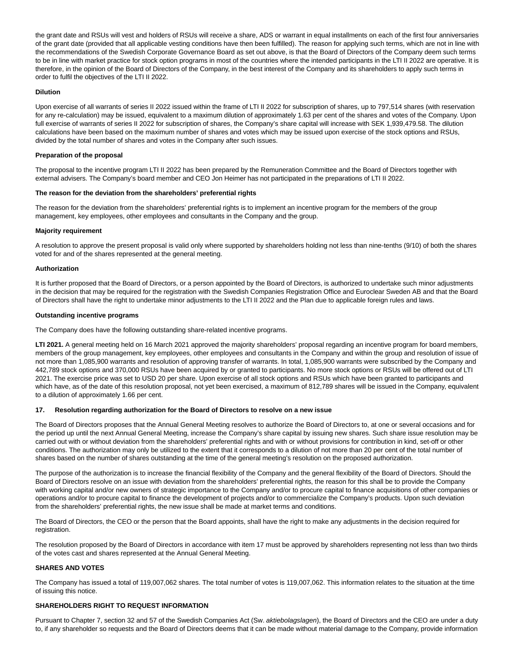the grant date and RSUs will vest and holders of RSUs will receive a share, ADS or warrant in equal installments on each of the first four anniversaries of the grant date (provided that all applicable vesting conditions have then been fulfilled). The reason for applying such terms, which are not in line with the recommendations of the Swedish Corporate Governance Board as set out above, is that the Board of Directors of the Company deem such terms to be in line with market practice for stock option programs in most of the countries where the intended participants in the LTI II 2022 are operative. It is therefore, in the opinion of the Board of Directors of the Company, in the best interest of the Company and its shareholders to apply such terms in order to fulfil the objectives of the LTI II 2022.

#### **Dilution**

Upon exercise of all warrants of series II 2022 issued within the frame of LTI II 2022 for subscription of shares, up to 797,514 shares (with reservation for any re-calculation) may be issued, equivalent to a maximum dilution of approximately 1.63 per cent of the shares and votes of the Company. Upon full exercise of warrants of series II 2022 for subscription of shares, the Company's share capital will increase with SEK 1,939,479.58. The dilution calculations have been based on the maximum number of shares and votes which may be issued upon exercise of the stock options and RSUs, divided by the total number of shares and votes in the Company after such issues.

#### **Preparation of the proposal**

The proposal to the incentive program LTI II 2022 has been prepared by the Remuneration Committee and the Board of Directors together with external advisers. The Company's board member and CEO Jon Heimer has not participated in the preparations of LTI II 2022.

#### **The reason for the deviation from the shareholders' preferential rights**

The reason for the deviation from the shareholders' preferential rights is to implement an incentive program for the members of the group management, key employees, other employees and consultants in the Company and the group.

#### **Majority requirement**

A resolution to approve the present proposal is valid only where supported by shareholders holding not less than nine-tenths (9/10) of both the shares voted for and of the shares represented at the general meeting.

#### **Authorization**

It is further proposed that the Board of Directors, or a person appointed by the Board of Directors, is authorized to undertake such minor adjustments in the decision that may be required for the registration with the Swedish Companies Registration Office and Euroclear Sweden AB and that the Board of Directors shall have the right to undertake minor adjustments to the LTI II 2022 and the Plan due to applicable foreign rules and laws.

#### **Outstanding incentive programs**

The Company does have the following outstanding share-related incentive programs.

LTI 2021. A general meeting held on 16 March 2021 approved the majority shareholders' proposal regarding an incentive program for board members, members of the group management, key employees, other employees and consultants in the Company and within the group and resolution of issue of not more than 1,085,900 warrants and resolution of approving transfer of warrants. In total, 1,085,900 warrants were subscribed by the Company and 442,789 stock options and 370,000 RSUs have been acquired by or granted to participants. No more stock options or RSUs will be offered out of LTI 2021. The exercise price was set to USD 20 per share. Upon exercise of all stock options and RSUs which have been granted to participants and which have, as of the date of this resolution proposal, not yet been exercised, a maximum of 812,789 shares will be issued in the Company, equivalent to a dilution of approximately 1.66 per cent.

#### **17. Resolution regarding authorization for the Board of Directors to resolve on a new issue**

The Board of Directors proposes that the Annual General Meeting resolves to authorize the Board of Directors to, at one or several occasions and for the period up until the next Annual General Meeting, increase the Company's share capital by issuing new shares. Such share issue resolution may be carried out with or without deviation from the shareholders' preferential rights and with or without provisions for contribution in kind, set-off or other conditions. The authorization may only be utilized to the extent that it corresponds to a dilution of not more than 20 per cent of the total number of shares based on the number of shares outstanding at the time of the general meeting's resolution on the proposed authorization.

The purpose of the authorization is to increase the financial flexibility of the Company and the general flexibility of the Board of Directors. Should the Board of Directors resolve on an issue with deviation from the shareholders' preferential rights, the reason for this shall be to provide the Company with working capital and/or new owners of strategic importance to the Company and/or to procure capital to finance acquisitions of other companies or operations and/or to procure capital to finance the development of projects and/or to commercialize the Company's products. Upon such deviation from the shareholders' preferential rights, the new issue shall be made at market terms and conditions.

The Board of Directors, the CEO or the person that the Board appoints, shall have the right to make any adjustments in the decision required for registration.

The resolution proposed by the Board of Directors in accordance with item 17 must be approved by shareholders representing not less than two thirds of the votes cast and shares represented at the Annual General Meeting.

#### **SHARES AND VOTES**

The Company has issued a total of 119,007,062 shares. The total number of votes is 119,007,062. This information relates to the situation at the time of issuing this notice.

### **SHAREHOLDERS RIGHT TO REQUEST INFORMATION**

Pursuant to Chapter 7, section 32 and 57 of the Swedish Companies Act (Sw. aktiebolagslagen), the Board of Directors and the CEO are under a duty to, if any shareholder so requests and the Board of Directors deems that it can be made without material damage to the Company, provide information